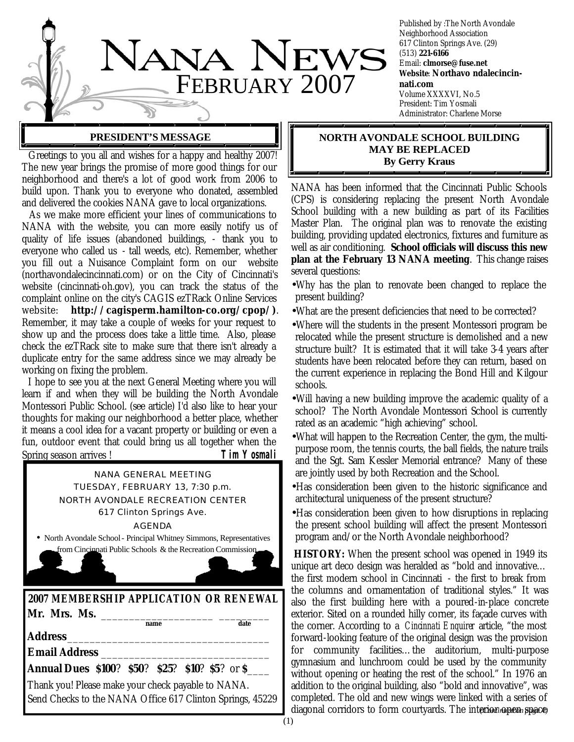

Published by :The North Avondale Neighborhood Association 617 Clinton Springs Ave. (29) (513) **221-6166** Email: **clmorse@fuse.net Website**: **Northavo ndalecincinnati.com** Volume XXXXVI, No.5 President: Tim Yosmali Administrator: Charlene Morse

### **PRESIDENT'S MESSAGE**

 Greetings to you all and wishes for a happy and healthy 2007! The new year brings the promise of more good things for our neighborhood and there's a lot of good work from 2006 to build upon. Thank you to everyone who donated, assembled and delivered the cookies NANA gave to local organizations.

 As we make more efficient your lines of communications to NANA with the website, you can more easily notify us of quality of life issues (abandoned buildings, - thank you to everyone who called us - tall weeds, etc). Remember, whether you fill out a Nuisance Complaint form on our website (northavondalecincinnati.com) or on the City of Cincinnati's website (cincinnati-oh.gov), you can track the status of the complaint online on the city's CAGIS ezTRack Online Services website: **http://cagisperm.hamilton-co.org/cpop/)**. Remember, it may take a couple of weeks for your request to show up and the process does take a little time. Also, please check the ezTRack site to make sure that there isn't already a duplicate entry for the same address since we may already be working on fixing the problem.

 I hope to see you at the next General Meeting where you will learn if and when they will be building the North Avondale Montessori Public School. (see article) I'd also like to hear your thoughts for making our neighborhood a better place, whether it means a cool idea for a vacant property or building or even a fun, outdoor event that could bring us all together when the Spring season arrives ! **Tim Yosmali**

**2007 MEMBERSHIP APPLICATION OR RENEWAL Mr. Mrs. Ms.** \_\_\_\_\_\_\_\_\_\_\_\_\_\_\_\_\_\_\_\_ \_\_\_\_\_\_\_\_\_  $\overline{\mathbf{name}}$ **Address**\_\_\_\_\_\_\_\_\_\_\_\_\_\_\_\_\_\_\_\_\_\_\_\_\_\_\_\_\_\_\_\_\_\_\_\_ **Email Address** \_\_\_\_\_\_\_\_\_\_\_\_\_\_\_\_\_\_\_\_\_\_\_\_\_\_\_\_\_\_ **Annual Dues \$100**? **\$50**? **\$25**? **\$10**? **\$5**? or **\$**\_\_\_\_ Thank you! Please make your check payable to NANA. Send Checks to the NANA Office 617 Clinton Springs, 45229 NANA GENERAL MEETING TUESDAY, FEBRUARY 13, 7:30 p.m. NORTH AVONDALE RECREATION CENTER 617 Clinton Springs Ave. AGENDA • North Avondale School - Principal Whitney Simmons, Representatives from Cincinnati Public Schools & the Recreation Commission

## **NORTH AVONDALE SCHOOL BUILDING MAY BE REPLACED By Gerry Kraus**

NANA has been informed that the Cincinnati Public Schools (CPS) is considering replacing the present North Avondale School building with a new building as part of its Facilities Master Plan. The original plan was to renovate the existing building, providing updated electronics, fixtures and furniture as well as air conditioning. **School officials will discuss this new plan at the February 13 NANA meeting**. This change raises several questions:

- •Why has the plan to renovate been changed to replace the present building?
- •What are the present deficiencies that need to be corrected?
- •Where will the students in the present Montessori program be relocated while the present structure is demolished and a new structure built? It is estimated that it will take 3-4 years after students have been relocated before they can return, based on the current experience in replacing the Bond Hill and Kilgour schools.
- •Will having a new building improve the academic quality of a school? The North Avondale Montessori School is currently rated as an academic "high achieving" school.
- •What will happen to the Recreation Center, the gym, the multipurpose room, the tennis courts, the ball fields, the nature trails and the Sgt. Sam Kessler Memorial entrance? Many of these are jointly used by both Recreation and the School.
- •Has consideration been given to the historic significance and architectural uniqueness of the present structure?
- •Has consideration been given to how disruptions in replacing the present school building will affect the present Montessori program and/or the North Avondale neighborhood?

**HISTORY:** When the present school was opened in 1949 its unique art deco design was heralded as "bold and innovative… the first modern school in Cincinnati - the first to break from the columns and ornamentation of traditional styles." It was also the first building here with a poured-in-place concrete exterior. Sited on a rounded hilly corner, its façade curves with the corner. According to a *Cincinnati Enquirer* article, "the most forward-looking feature of the original design was the provision for community facilities...the auditorium, multi-purpose gymnasium and lunchroom could be used by the community without opening or heating the rest of the school." In 1976 an addition to the original building, also "bold and innovative", was completed. The old and new wings were linked with a series of diagonal corridors to form courtyards. The interior open space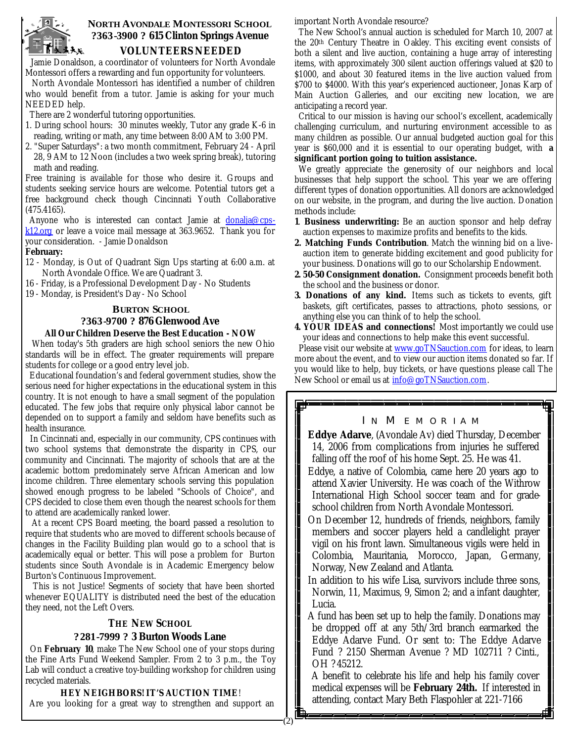

## **NORTH AVONDALE MONTESSORI SCHOOL ?363-3900 ? 615 Clinton Springs Avenue VOLUNTEERS NEEDED**

 Jamie Donaldson, a coordinator of volunteers for North Avondale Montessori offers a rewarding and fun opportunity for volunteers.

 North Avondale Montessori has identified a number of children who would benefit from a tutor. Jamie is asking for your much NEEDED help.

There are 2 wonderful tutoring opportunities.

- 1. During school hours: 30 minutes weekly, Tutor any grade K-6 in reading, writing or math, any time between 8:00 AM to 3:00 PM.
- 2. "Super Saturdays": a two month commitment, February 24 April 28, 9 AM to 12 Noon (includes a two week spring break), tutoring math and reading.

Free training is available for those who desire it. Groups and students seeking service hours are welcome. Potential tutors get a free background check though Cincinnati Youth Collaborative (475.4165).

Anyone who is interested can contact Jamie at donalja@cpsk12.org or leave a voice mail message at 363.9652. Thank you for your consideration. - Jamie Donaldson

#### **February:**

- 12 Monday, is Out of Quadrant Sign Ups starting at 6:00 a.m. at North Avondale Office. We are Quadrant 3.
- 16 Friday, is a Professional Development Day No Students
- 19 Monday, is President's Day No School

#### **BURTON SCHOOL**

## **?363-9700 ? 876 Glenwood Ave**

## **All Our Children Deserve the Best Education - NOW**

 When today's 5th graders are high school seniors the new Ohio standards will be in effect. The greater requirements will prepare students for college or a good entry level job.

 Educational foundation's and federal government studies, show the serious need for higher expectations in the educational system in this country. It is not enough to have a small segment of the population educated. The few jobs that require only physical labor cannot be depended on to support a family and seldom have benefits such as health insurance.

 In Cincinnati and, especially in our community, CPS continues with two school systems that demonstrate the disparity in CPS, our community and Cincinnati. The majority of schools that are at the academic bottom predominately serve African American and low income children. Three elementary schools serving this population showed enough progress to be labeled "Schools of Choice", and CPS decided to close them even though the nearest schools for them to attend are academically ranked lower.

 At a recent CPS Board meeting, the board passed a resolution to require that students who are moved to different schools because of changes in the Facility Building plan would go to a school that is academically equal or better. This will pose a problem for Burton students since South Avondale is in Academic Emergency below Burton's Continuous Improvement.

 This is not Justice! Segments of society that have been shorted whenever EQUALITY is distributed need the best of the education they need, not the Left Overs.

#### **THE NEW SCHOOL ?281-7999 ? 3 Burton Woods Lane**

 On **February 10**, make The New School one of your stops during the Fine Arts Fund Weekend Sampler. From 2 to 3 p.m., the Toy Lab will conduct a creative toy-building workshop for children using recycled materials.

#### **HEY NEIGHBORS! IT'S AUCTION TIME**!

Are you looking for a great way to strengthen and support an

important North Avondale resource?

The New School's annual auction is scheduled for March 10, 2007 at the 20th Century Theatre in Oakley. This exciting event consists of both a silent and live auction, containing a huge array of interesting items, with approximately 300 silent auction offerings valued at \$20 to \$1000, and about 30 featured items in the live auction valued from \$700 to \$4000. With this year's experienced auctioneer, Jonas Karp of Main Auction Galleries, and our exciting new location, we are anticipating a record year.

Critical to our mission is having our school's excellent, academically challenging curriculum, and nurturing environment accessible to as many children as possible. Our annual budgeted auction goal for this year is \$60,000 and it is essential to our operating budget, with **a significant portion going to tuition assistance.** 

We greatly appreciate the generosity of our neighbors and local businesses that help support the school. This year we are offering different types of donation opportunities. All donors are acknowledged on our website, in the program, and during the live auction. Donation methods include:

- **1**. **Business underwriting:** Be an auction sponsor and help defray auction expenses to maximize profits and benefits to the kids.
- **2. Matching Funds Contribution**. Match the winning bid on a liveauction item to generate bidding excitement and good publicity for your business. Donations will go to our Scholarship Endowment.
- **2. 50-50 Consignment donation.** Consignment proceeds benefit both the school and the business or donor.
- **3. Donations of any kind.** Items such as tickets to events, gift baskets, gift certificates, passes to attractions, photo sessions, or anything else you can think of to help the school.
- **4. YOUR IDEAS and connections!** Most importantly we could use your ideas and connections to help make this event successful.

Please visit our website at www.goTNSauction.com for ideas, to learn more about the event, and to view our auction items donated so far. If you would like to help, buy tickets, or have questions please call The New School or email us at info@goTNSauction.com.

#### IN MEMORIAM

**Eddye Adarve**, (Avondale Av) died Thursday, December 14, 2006 from complications from injuries he suffered falling off the roof of his home Sept. 25. He was 41.

- Eddye, a native of Colombia, came here 20 years ago to attend Xavier University. He was coach of the Withrow International High School soccer team and for gradeschool children from North Avondale Montessori.
- On December 12, hundreds of friends, neighbors, family members and soccer players held a candlelight prayer vigil on his front lawn. Simultaneous vigils were held in Colombia, Mauritania, Morocco, Japan, Germany, Norway, New Zealand and Atlanta.
- In addition to his wife Lisa, survivors include three sons, Norwin, 11, Maximus, 9, Simon 2; and a infant daughter, Lucia.
- A fund has been set up to help the family. Donations may be dropped off at any 5th/3rd branch earmarked the Eddye Adarve Fund. Or sent to: The Eddye Adarve Fund ? 2150 Sherman Avenue ? MD 102711 ? Cinti., OH ? 45212.

 A benefit to celebrate his life and help his family cover medical expenses will be **February 24th.** If interested in attending, contact Mary Beth Flaspohler at 221-7166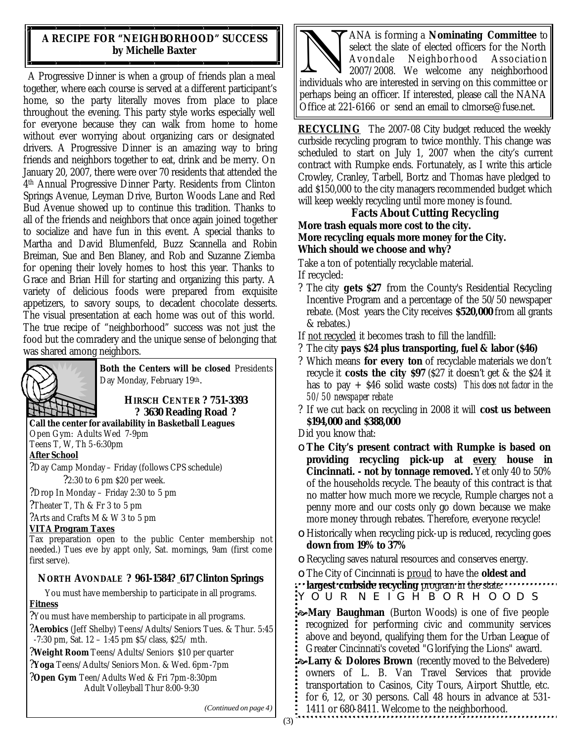## **A RECIPE FOR "NEIGHBORHOOD" SUCCESS by Michelle Baxter**

A Progressive Dinner is when a group of friends plan a meal together, where each course is served at a different participant's home, so the party literally moves from place to place throughout the evening. This party style works especially well for everyone because they can walk from home to home without ever worrying about organizing cars or designated drivers. A Progressive Dinner is an amazing way to bring friends and neighbors together to eat, drink and be merry. On January 20, 2007, there were over 70 residents that attended the 4 th Annual Progressive Dinner Party. Residents from Clinton Springs Avenue, Leyman Drive, Burton Woods Lane and Red Bud Avenue showed up to continue this tradition. Thanks to all of the friends and neighbors that once again joined together to socialize and have fun in this event. A special thanks to Martha and David Blumenfeld, Buzz Scannella and Robin Breiman, Sue and Ben Blaney, and Rob and Suzanne Ziemba for opening their lovely homes to host this year. Thanks to Grace and Brian Hill for starting and organizing this party. A variety of delicious foods were prepared from exquisite appetizers, to savory soups, to decadent chocolate desserts. The visual presentation at each home was out of this world. The true recipe of "neighborhood" success was not just the food but the comradery and the unique sense of belonging that was shared among neighbors.



**Both the Centers will be closed** Presidents Day Monday, February 19th.

**HIRSCH CENTER ? 751-3393 ? 3630 Reading Road ?**

**Call the center for availability in Basketball Leagues** 

Open Gym: Adults Wed 7-9pm Teens T, W, Th 5-6:30pm

**After School**

?Day Camp Monday – Friday (follows CPS schedule) ?2:30 to 6 pm \$20 per week.

?Drop In Monday – Friday 2:30 to 5 pm

?Theater T, Th & Fr 3 to 5 pm

?Arts and Crafts M & W 3 to 5 pm

### **VITA Program Taxes**

Tax preparation open to the public Center membership not needed.) Tues eve by appt only, Sat. mornings, 9am (first come first serve).

## **NORTH AVONDALE ? 961-1584? 617 Clinton Springs**

You must have membership to participate in all programs. **Fitness**

?You must have membership to participate in all programs.

?**Aerobics** (Jeff Shelby) Teens/Adults/Seniors Tues. & Thur. 5:45  $-7:30$  pm, Sat.  $12 - 1:45$  pm  $$5/class$ ,  $$25/mth$ .

?**Weight Room** Teens/Adults/Seniors \$10 per quarter

?**Yoga** Teens/Adults/Seniors Mon. & Wed. 6pm-7pm

?**Open Gym** Teen/Adults Wed & Fri 7pm-8:30pm Adult Volleyball Thur 8:00-9:30

ANA is forming a **Nominating Committee** to<br>select the slate of elected officers for the North<br>Avondale Neighborhood Association<br>individuals who are interested in serving on this committee or ANA is forming a **Nominating Committee** to select the slate of elected officers for the North Avondale Neighborhood Association 2007/2008. We welcome any neighborhood perhaps being an officer. If interested, please call the NANA Office at 221-6166 or send an email to clmorse@fuse.net.

**RECYCLING** The 2007-08 City budget reduced the weekly curbside recycling program to twice monthly. This change was scheduled to start on July 1, 2007 when the city's current contract with Rumpke ends. Fortunately, as I write this article Crowley, Cranley, Tarbell, Bortz and Thomas have pledged to add \$150,000 to the city managers recommended budget which will keep weekly recycling until more money is found.

## **Facts About Cutting Recycling**

**More trash equals more cost to the city. More recycling equals more money for the City. Which should we choose and why?**

Take a ton of potentially recyclable material. If recycled:

- ? The city **gets \$27** from the County's Residential Recycling Incentive Program and a percentage of the 50/50 newspaper rebate. (Most years the City receives **\$520,000** from all grants & rebates.)
- If not recycled it becomes trash to fill the landfill:
- ? The city **pays \$24 plus transporting, fuel & labor (\$46)**
- ? Which means **for every ton** of recyclable materials we don't recycle it **costs the city \$97** (\$27 it doesn't get & the \$24 it has to pay + \$46 solid waste costs) *This does not factor in the 50/50 newspaper rebate*
- ? If we cut back on recycling in 2008 it will **cost us between \$194,000 and \$388,000**

Did you know that:

- ο **The City's present contract with Rumpke is based on providing recycling pick-up at every house in Cincinnati. - not by tonnage removed.** Yet only 40 to 50% of the households recycle. The beauty of this contract is that no matter how much more we recycle, Rumple charges not a penny more and our costs only go down because we make more money through rebates. Therefore, everyone recycle!
- ο Historically when recycling pick-up is reduced, recycling goes **down from 19% to 37%**
- ο Recycling saves natural resources and conserves energy.
- ο The City of Cincinnati is proud to have the **oldest and**

YOUR NEIGHBORHOODS **largest curbside recycling** program in the state.

**Mary Baughman** (Burton Woods) is one of five people recognized for performing civic and community services above and beyond, qualifying them for the Urban League of Greater Cincinnati's coveted "Glorifying the Lions" award.

**EXALARRY & Dolores Brown** (recently moved to the Belvedere) owners of L. B. Van Travel Services that provide transportation to Casinos, City Tours, Airport Shuttle, etc. for 6, 12, or 30 persons. Call 48 hours in advance at 531- 1411 or 680-8411. Welcome to the neighborhood.

*(Continued on page 4)*